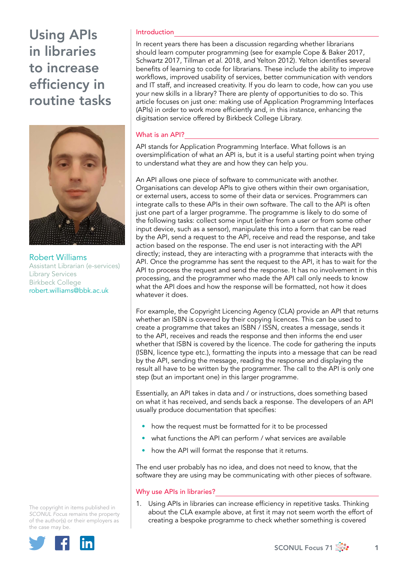

Robert Williams Assistant Librarian (e-services) Library Services Birkbeck College [robert.williams@bbk.ac.uk](file:///Volumes/DTP/LIVE%20JOBS/NP0119.2827/c.%20Disc%20Copy/robert.williams@bbk.ac.uk)

Introduction

In recent years there has been a discussion regarding whether librarians should learn computer programming (see for example Cope & Baker 2017, Schwartz 2017, Tillman *et al*. 2018, and Yelton 2012). Yelton identifies several benefits of learning to code for librarians. These include the ability to improve workflows, improved usability of services, better communication with vendors and IT staff, and increased creativity. If you do learn to code, how can you use your new skills in a library? There are plenty of opportunities to do so. This article focuses on just one: making use of Application Programming Interfaces (APIs) in order to work more efficiently and, in this instance, enhancing the digitsation service offered by Birkbeck College Library.

## What is an API?

API stands for Application Programming Interface. What follows is an oversimplification of what an API is, but it is a useful starting point when trying to understand what they are and how they can help you.

An API allows one piece of software to communicate with another. Organisations can develop APIs to give others within their own organisation, or external users, access to some of their data or services. Programmers can integrate calls to these APIs in their own software. The call to the API is often just one part of a larger programme. The programme is likely to do some of the following tasks: collect some input (either from a user or from some other input device, such as a sensor), manipulate this into a form that can be read by the API, send a request to the API, receive and read the response, and take action based on the response. The end user is not interacting with the API directly; instead, they are interacting with a programme that interacts with the API. Once the programme has sent the request to the API, it has to wait for the API to process the request and send the response. It has no involvement in this processing, and the programmer who made the API call only needs to know what the API does and how the response will be formatted, not how it does whatever it does.

For example, the Copyright Licencing Agency (CLA) provide an API that returns whether an ISBN is covered by their copying licences. This can be used to create a programme that takes an ISBN / ISSN, creates a message, sends it to the API, receives and reads the response and then informs the end user whether that ISBN is covered by the licence. The code for gathering the inputs (ISBN, licence type etc.), formatting the inputs into a message that can be read by the API, sending the message, reading the response and displaying the result all have to be written by the programmer. The call to the API is only one step (but an important one) in this larger programme.

Essentially, an API takes in data and / or instructions, does something based on what it has received, and sends back a response. The developers of an API usually produce documentation that specifies:

- how the request must be formatted for it to be processed
- what functions the API can perform / what services are available
- how the API will format the response that it returns.

The end user probably has no idea, and does not need to know, that the software they are using may be communicating with other pieces of software.

#### Why use APIs in libraries?

1. Using APIs in libraries can increase efficiency in repetitive tasks. Thinking about the CLA example above, at first it may not seem worth the effort of creating a bespoke programme to check whether something is covered

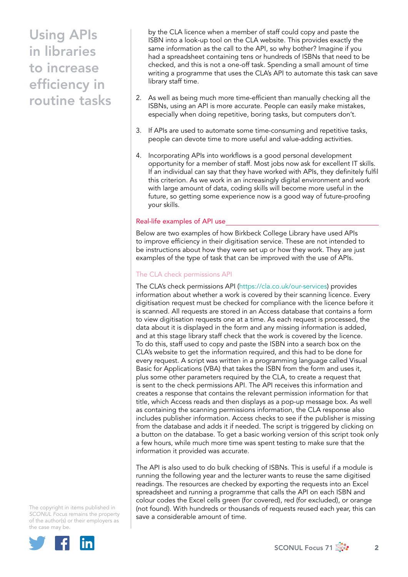by the CLA licence when a member of staff could copy and paste the ISBN into a look-up tool on the CLA website. This provides exactly the same information as the call to the API, so why bother? Imagine if you had a spreadsheet containing tens or hundreds of ISBNs that need to be checked, and this is not a one-off task. Spending a small amount of time writing a programme that uses the CLA's API to automate this task can save library staff time.

- 2. As well as being much more time-efficient than manually checking all the ISBNs, using an API is more accurate. People can easily make mistakes, especially when doing repetitive, boring tasks, but computers don't.
- 3. If APIs are used to automate some time-consuming and repetitive tasks, people can devote time to more useful and value-adding activities.
- 4. Incorporating APIs into workflows is a good personal development opportunity for a member of staff. Most jobs now ask for excellent IT skills. If an individual can say that they have worked with APIs, they definitely fulfil this criterion. As we work in an increasingly digital environment and work with large amount of data, coding skills will become more useful in the future, so getting some experience now is a good way of future-proofing your skills.

## Real-life examples of API use

Below are two examples of how Birkbeck College Library have used APIs to improve efficiency in their digitisation service. These are not intended to be instructions about how they were set up or how they work. They are just examples of the type of task that can be improved with the use of APIs.

# The CLA check permissions API

The CLA's check permissions API [\(https://cla.co.uk/our-services](https://cla.co.uk/our-services)) provides information about whether a work is covered by their scanning licence. Every digitisation request must be checked for compliance with the licence before it is scanned. All requests are stored in an Access database that contains a form to view digitisation requests one at a time. As each request is processed, the data about it is displayed in the form and any missing information is added, and at this stage library staff check that the work is covered by the licence. To do this, staff used to copy and paste the ISBN into a search box on the CLA's website to get the information required, and this had to be done for every request. A script was written in a programming language called Visual Basic for Applications (VBA) that takes the ISBN from the form and uses it, plus some other parameters required by the CLA, to create a request that is sent to the check permissions API. The API receives this information and creates a response that contains the relevant permission information for that title, which Access reads and then displays as a pop-up message box. As well as containing the scanning permissions information, the CLA response also includes publisher information. Access checks to see if the publisher is missing from the database and adds it if needed. The script is triggered by clicking on a button on the database. To get a basic working version of this script took only a few hours, while much more time was spent testing to make sure that the information it provided was accurate.

The API is also used to do bulk checking of ISBNs. This is useful if a module is running the following year and the lecturer wants to reuse the same digitised readings. The resources are checked by exporting the requests into an Excel spreadsheet and running a programme that calls the API on each ISBN and colour codes the Excel cells green (for covered), red (for excluded), or orange (not found). With hundreds or thousands of requests reused each year, this can save a considerable amount of time.

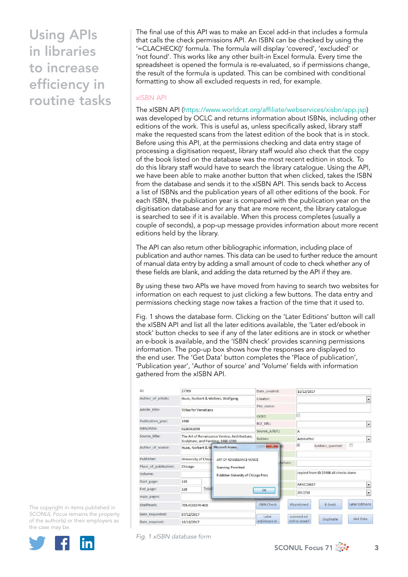The final use of this API was to make an Excel add-in that includes a formula that calls the check permissions API. An ISBN can be checked by using the '=CLACHECK()' formula. The formula will display 'covered', 'excluded' or 'not found'. This works like any other built-in Excel formula. Every time the spreadsheet is opened the formula is re-evaluated, so if permissions change, the result of the formula is updated. This can be combined with conditional formatting to show all excluded requests in red, for example.

## xISBN API

The xISBN API ([https://www.worldcat.org/affiliate/webservices/xisbn/app.jsp\)](https://www.worldcat.org/affiliate/webservices/xisbn/app.jsp) was developed by OCLC and returns information about ISBNs, including other editions of the work. This is useful as, unless specifically asked, library staff make the requested scans from the latest edition of the book that is in stock. Before using this API, at the permissions checking and data entry stage of processing a digitisation request, library staff would also check that the copy of the book listed on the database was the most recent edition in stock. To do this library staff would have to search the library catalogue. Using the API, we have been able to make another button that when clicked, takes the ISBN from the database and sends it to the xISBN API. This sends back to Access a list of ISBNs and the publication years of all other editions of the book. For each ISBN, the publication year is compared with the publication year on the digitisation database and for any that are more recent, the library catalogue is searched to see if it is available. When this process completes (usually a couple of seconds), a pop-up message provides information about more recent editions held by the library.

The API can also return other bibliographic information, including place of publication and author names. This data can be used to further reduce the amount of manual data entry by adding a small amount of code to check whether any of these fields are blank, and adding the data returned by the API if they are.

By using these two APIs we have moved from having to search two websites for information on each request to just clicking a few buttons. The data entry and permissions checking stage now takes a fraction of the time that it used to.

Fig. 1 shows the database form. Clicking on the 'Later Editions' button will call the xISBN API and list all the later editions available, the 'Later ed/ebook in stock' button checks to see if any of the later editions are in stock or whether an e-book is available, and the 'ISBN check' provides scanning permissions information. The pop-up box shows how the responses are displayed to the end user. The 'Get Data' button completes the 'Place of publication', 'Publication year', 'Author of source' and 'Volume' fields with information gathered from the xISBN API.

| ID:                   | 27769                                                                                  |       |  | Date created:          |                              | 11/12/2017                             |                  |                          |  |
|-----------------------|----------------------------------------------------------------------------------------|-------|--|------------------------|------------------------------|----------------------------------------|------------------|--------------------------|--|
| Author of article:    | Huse, Norbert & Wolters, Wolfgang                                                      |       |  | Creator:               |                              |                                        |                  | $\cdot$                  |  |
| Article title:        | Villas for Venetians                                                                   |       |  | File name:<br>$OCR$ ?: |                              |                                        |                  |                          |  |
|                       |                                                                                        |       |  |                        |                              |                                        |                  |                          |  |
| Publication year:     | 1990                                                                                   |       |  | <b>BLE URL:</b>        |                              | $\overline{\phantom{a}}$               |                  |                          |  |
| ISBN/ISSN:            | 0226361098                                                                             |       |  | Source A/B/C:          |                              | A                                      |                  |                          |  |
| Source title:         | The Art of Renaissance Venice, Architecture,<br>Sculpture, and Painting, 1460-1590     |       |  | Subbie:                |                              | ArtHistPol<br>$\overline{\phantom{a}}$ |                  |                          |  |
| Author of source:     | Huse, Norbert & W Microsoft Access<br>University of Chica<br>ART OF RENAISSANCE VENICE |       |  | $\mathbf{X}$<br>ld:    |                              | $\overline{\mathcal{A}}$               | Subbies queried: | $\Box$                   |  |
| Publisher:            |                                                                                        |       |  |                        | helves:                      |                                        |                  |                          |  |
| Place of publication: | Chicago<br>Scanning: Permitted<br>Publisher: University of Chicago Press<br>115        |       |  |                        |                              |                                        |                  |                          |  |
| Volume:               |                                                                                        |       |  |                        |                              | copied from ID 23908 all checks done   |                  |                          |  |
| Start page:           |                                                                                        |       |  |                        | <b>ARVC236S7</b><br>$\cdot$  |                                        |                  |                          |  |
| End page:             | 128                                                                                    | Total |  | OK                     |                              |                                        |                  |                          |  |
| supp pages:           |                                                                                        |       |  |                        |                              | 2017/18                                |                  | $\overline{\phantom{a}}$ |  |
| Shelfmark:            | 709.4531074 HUS                                                                        |       |  | <b>ISBN Check</b>      |                              | Abandoned                              | E-book           | <b>Later Editions</b>    |  |
| Date requested:       | 07/12/2017                                                                             |       |  | Later                  |                              | scanned ed                             |                  |                          |  |
| Date required:        | 15/12/2017                                                                             |       |  | ed/ebook in            | Duplicate<br>still in stock? |                                        |                  | Get Data                 |  |

The copyright in items published in *SCONUL Focus* remains the property of the author(s) or their employers as the case may be.



*Fig. 1 xISBN database form*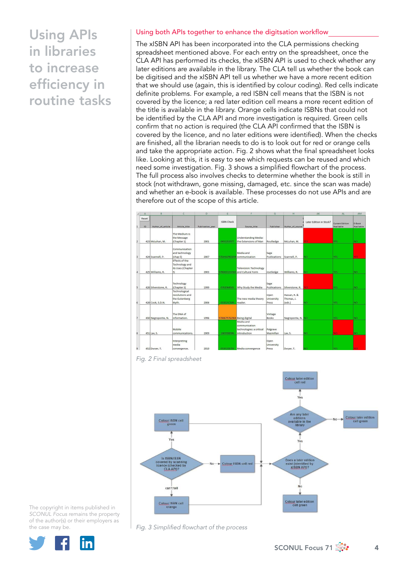#### Using both APIs together to enhance the digitsation workflow

The xISBN API has been incorporated into the CLA permissions checking spreadsheet mentioned above. For each entry on the spreadsheet, once the CLA API has performed its checks, the xISBN API is used to check whether any later editions are available in the library. The CLA tell us whether the book can be digitised and the xISBN API tell us whether we have a more recent edition that we should use (again, this is identified by colour coding). Red cells indicate definite problems. For example, a red ISBN cell means that the ISBN is not covered by the licence; a red later edition cell means a more recent edition of the title is available in the library. Orange cells indicate ISBNs that could not be identified by the CLA API and more investigation is required. Green cells confirm that no action is required (the CLA API confirmed that the ISBN is covered by the licence, and no later editions were identified). When the checks are finished, all the librarian needs to do is to look out for red or orange cells and take the appropriate action. Fig. 2 shows what the final spreadsheet looks like. Looking at this, it is easy to see which requests can be reused and which need some investigation. Fig. 3 shows a simplified flowchart of the process. The full process also involves checks to determine whether the book is still in stock (not withdrawn, gone missing, damaged, etc. since the scan was made) and whether an e-book is available. These processes do not use APIs and are therefore out of the scope of this article.



*Fig. 2 Final spreadsheet*